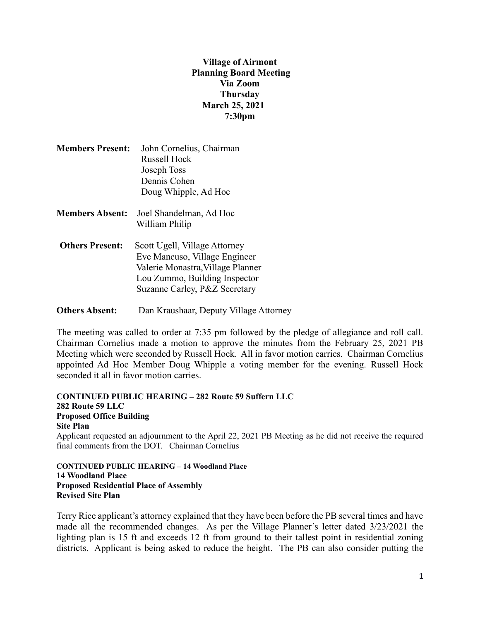# **Village of Airmont Planning Board Meeting Via Zoom Thursday March 25, 2021 7:30pm**

| <b>Members Present:</b> | John Cornelius, Chairman |
|-------------------------|--------------------------|
|                         | <b>Russell Hock</b>      |
|                         | Joseph Toss              |
|                         | Dennis Cohen             |
|                         | Doug Whipple, Ad Hoc     |
| <b>Members Absent:</b>  | Joel Shandelman, Ad Hoc  |
|                         | William Philip           |

**Others Present:** Scott Ugell, Village Attorney Eve Mancuso, Village Engineer Valerie Monastra,Village Planner Lou Zummo, Building Inspector Suzanne Carley, P&Z Secretary

**Others Absent:** Dan Kraushaar, Deputy Village Attorney

The meeting was called to order at 7:35 pm followed by the pledge of allegiance and roll call. Chairman Cornelius made a motion to approve the minutes from the February 25, 2021 PB Meeting which were seconded by Russell Hock. All in favor motion carries. Chairman Cornelius appointed Ad Hoc Member Doug Whipple a voting member for the evening. Russell Hock seconded it all in favor motion carries.

**CONTINUED PUBLIC HEARING – 282 Route 59 Suffern LLC 282 Route 59 LLC Proposed Office Building Site Plan** Applicant requested an adjournment to the April 22, 2021 PB Meeting as he did not receive the required final comments from the DOT. Chairman Cornelius

**CONTINUED PUBLIC HEARING – 14 Woodland Place 14 Woodland Place Proposed Residential Place of Assembly Revised Site Plan**

Terry Rice applicant's attorney explained that they have been before the PB several times and have made all the recommended changes. As per the Village Planner's letter dated 3/23/2021 the lighting plan is 15 ft and exceeds 12 ft from ground to their tallest point in residential zoning districts. Applicant is being asked to reduce the height. The PB can also consider putting the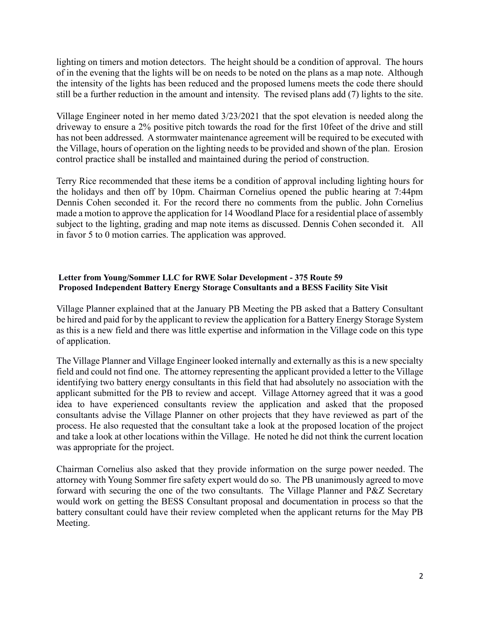lighting on timers and motion detectors. The height should be a condition of approval. The hours of in the evening that the lights will be on needs to be noted on the plans as a map note. Although the intensity of the lights has been reduced and the proposed lumens meets the code there should still be a further reduction in the amount and intensity. The revised plans add (7) lights to the site.

Village Engineer noted in her memo dated 3/23/2021 that the spot elevation is needed along the driveway to ensure a 2% positive pitch towards the road for the first 10feet of the drive and still has not been addressed. A stormwater maintenance agreement will be required to be executed with the Village, hours of operation on the lighting needs to be provided and shown of the plan. Erosion control practice shall be installed and maintained during the period of construction.

Terry Rice recommended that these items be a condition of approval including lighting hours for the holidays and then off by 10pm. Chairman Cornelius opened the public hearing at 7:44pm Dennis Cohen seconded it. For the record there no comments from the public. John Cornelius made a motion to approve the application for 14 Woodland Place for a residential place of assembly subject to the lighting, grading and map note items as discussed. Dennis Cohen seconded it. All in favor 5 to 0 motion carries. The application was approved.

#### **Letter from Young/Sommer LLC for RWE Solar Development - 375 Route 59 Proposed Independent Battery Energy Storage Consultants and a BESS Facility Site Visit**

Village Planner explained that at the January PB Meeting the PB asked that a Battery Consultant be hired and paid for by the applicant to review the application for a Battery Energy Storage System as this is a new field and there was little expertise and information in the Village code on this type of application.

The Village Planner and Village Engineer looked internally and externally as this is a new specialty field and could not find one. The attorney representing the applicant provided a letter to the Village identifying two battery energy consultants in this field that had absolutely no association with the applicant submitted for the PB to review and accept. Village Attorney agreed that it was a good idea to have experienced consultants review the application and asked that the proposed consultants advise the Village Planner on other projects that they have reviewed as part of the process. He also requested that the consultant take a look at the proposed location of the project and take a look at other locations within the Village. He noted he did not think the current location was appropriate for the project.

Chairman Cornelius also asked that they provide information on the surge power needed. The attorney with Young Sommer fire safety expert would do so. The PB unanimously agreed to move forward with securing the one of the two consultants. The Village Planner and P&Z Secretary would work on getting the BESS Consultant proposal and documentation in process so that the battery consultant could have their review completed when the applicant returns for the May PB Meeting.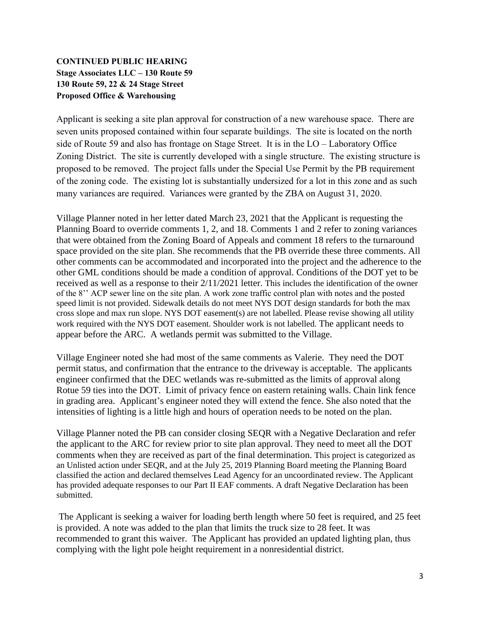# **CONTINUED PUBLIC HEARING Stage Associates LLC – 130 Route 59 130 Route 59, 22 & 24 Stage Street Proposed Office & Warehousing**

Applicant is seeking a site plan approval for construction of a new warehouse space. There are seven units proposed contained within four separate buildings. The site is located on the north side of Route 59 and also has frontage on Stage Street. It is in the LO – Laboratory Office Zoning District. The site is currently developed with a single structure. The existing structure is proposed to be removed. The project falls under the Special Use Permit by the PB requirement of the zoning code. The existing lot is substantially undersized for a lot in this zone and as such many variances are required. Variances were granted by the ZBA on August 31, 2020.

Village Planner noted in her letter dated March 23, 2021 that the Applicant is requesting the Planning Board to override comments 1, 2, and 18. Comments 1 and 2 refer to zoning variances that were obtained from the Zoning Board of Appeals and comment 18 refers to the turnaround space provided on the site plan. She recommends that the PB override these three comments. All other comments can be accommodated and incorporated into the project and the adherence to the other GML conditions should be made a condition of approval. Conditions of the DOT yet to be received as well as a response to their 2/11/2021 letter. This includes the identification of the owner of the 8'' ACP sewer line on the site plan. A work zone traffic control plan with notes and the posted speed limit is not provided. Sidewalk details do not meet NYS DOT design standards for both the max cross slope and max run slope. NYS DOT easement(s) are not labelled. Please revise showing all utility work required with the NYS DOT easement. Shoulder work is not labelled. The applicant needs to appear before the ARC. A wetlands permit was submitted to the Village.

Village Engineer noted she had most of the same comments as Valerie. They need the DOT permit status, and confirmation that the entrance to the driveway is acceptable. The applicants engineer confirmed that the DEC wetlands was re-submitted as the limits of approval along Rotue 59 ties into the DOT. Limit of privacy fence on eastern retaining walls. Chain link fence in grading area. Applicant's engineer noted they will extend the fence. She also noted that the intensities of lighting is a little high and hours of operation needs to be noted on the plan.

Village Planner noted the PB can consider closing SEQR with a Negative Declaration and refer the applicant to the ARC for review prior to site plan approval. They need to meet all the DOT comments when they are received as part of the final determination. This project is categorized as an Unlisted action under SEQR, and at the July 25, 2019 Planning Board meeting the Planning Board classified the action and declared themselves Lead Agency for an uncoordinated review. The Applicant has provided adequate responses to our Part II EAF comments. A draft Negative Declaration has been submitted.

The Applicant is seeking a waiver for loading berth length where 50 feet is required, and 25 feet is provided. A note was added to the plan that limits the truck size to 28 feet. It was recommended to grant this waiver. The Applicant has provided an updated lighting plan, thus complying with the light pole height requirement in a nonresidential district.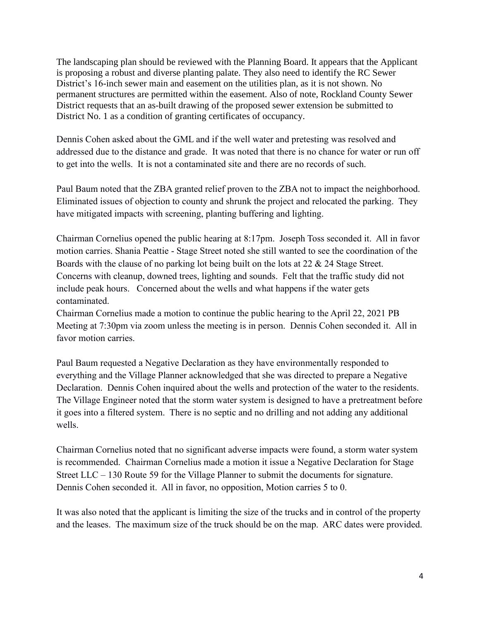The landscaping plan should be reviewed with the Planning Board. It appears that the Applicant is proposing a robust and diverse planting palate. They also need to identify the RC Sewer District's 16-inch sewer main and easement on the utilities plan, as it is not shown. No permanent structures are permitted within the easement. Also of note, Rockland County Sewer District requests that an as-built drawing of the proposed sewer extension be submitted to District No. 1 as a condition of granting certificates of occupancy.

Dennis Cohen asked about the GML and if the well water and pretesting was resolved and addressed due to the distance and grade. It was noted that there is no chance for water or run off to get into the wells. It is not a contaminated site and there are no records of such.

Paul Baum noted that the ZBA granted relief proven to the ZBA not to impact the neighborhood. Eliminated issues of objection to county and shrunk the project and relocated the parking. They have mitigated impacts with screening, planting buffering and lighting.

Chairman Cornelius opened the public hearing at 8:17pm. Joseph Toss seconded it. All in favor motion carries. Shania Peattie - Stage Street noted she still wanted to see the coordination of the Boards with the clause of no parking lot being built on the lots at 22 & 24 Stage Street. Concerns with cleanup, downed trees, lighting and sounds. Felt that the traffic study did not include peak hours. Concerned about the wells and what happens if the water gets contaminated.

Chairman Cornelius made a motion to continue the public hearing to the April 22, 2021 PB Meeting at 7:30pm via zoom unless the meeting is in person. Dennis Cohen seconded it. All in favor motion carries.

Paul Baum requested a Negative Declaration as they have environmentally responded to everything and the Village Planner acknowledged that she was directed to prepare a Negative Declaration. Dennis Cohen inquired about the wells and protection of the water to the residents. The Village Engineer noted that the storm water system is designed to have a pretreatment before it goes into a filtered system. There is no septic and no drilling and not adding any additional wells.

Chairman Cornelius noted that no significant adverse impacts were found, a storm water system is recommended. Chairman Cornelius made a motion it issue a Negative Declaration for Stage Street LLC – 130 Route 59 for the Village Planner to submit the documents for signature. Dennis Cohen seconded it. All in favor, no opposition, Motion carries 5 to 0.

It was also noted that the applicant is limiting the size of the trucks and in control of the property and the leases. The maximum size of the truck should be on the map. ARC dates were provided.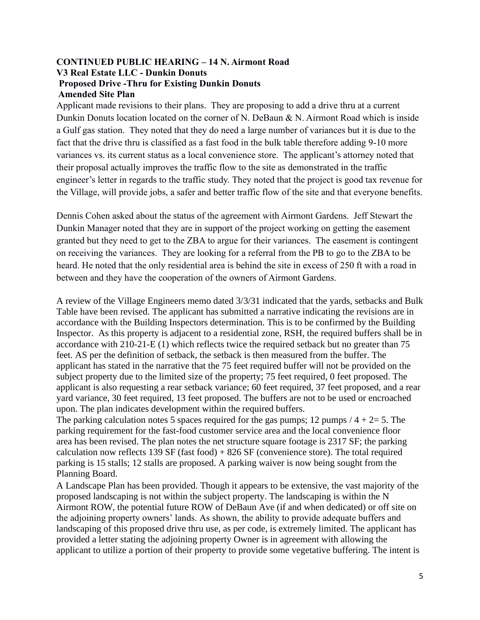#### **CONTINUED PUBLIC HEARING – 14 N. Airmont Road V3 Real Estate LLC - Dunkin Donuts Proposed Drive -Thru for Existing Dunkin Donuts Amended Site Plan**

Applicant made revisions to their plans. They are proposing to add a drive thru at a current Dunkin Donuts location located on the corner of N. DeBaun & N. Airmont Road which is inside a Gulf gas station. They noted that they do need a large number of variances but it is due to the fact that the drive thru is classified as a fast food in the bulk table therefore adding 9-10 more variances vs. its current status as a local convenience store. The applicant's attorney noted that their proposal actually improves the traffic flow to the site as demonstrated in the traffic engineer's letter in regards to the traffic study. They noted that the project is good tax revenue for the Village, will provide jobs, a safer and better traffic flow of the site and that everyone benefits.

Dennis Cohen asked about the status of the agreement with Airmont Gardens. Jeff Stewart the Dunkin Manager noted that they are in support of the project working on getting the easement granted but they need to get to the ZBA to argue for their variances. The easement is contingent on receiving the variances. They are looking for a referral from the PB to go to the ZBA to be heard. He noted that the only residential area is behind the site in excess of 250 ft with a road in between and they have the cooperation of the owners of Airmont Gardens.

A review of the Village Engineers memo dated 3/3/31 indicated that the yards, setbacks and Bulk Table have been revised. The applicant has submitted a narrative indicating the revisions are in accordance with the Building Inspectors determination. This is to be confirmed by the Building Inspector. As this property is adjacent to a residential zone, RSH, the required buffers shall be in accordance with 210-21-E (1) which reflects twice the required setback but no greater than 75 feet. AS per the definition of setback, the setback is then measured from the buffer. The applicant has stated in the narrative that the 75 feet required buffer will not be provided on the subject property due to the limited size of the property; 75 feet required, 0 feet proposed. The applicant is also requesting a rear setback variance; 60 feet required, 37 feet proposed, and a rear yard variance, 30 feet required, 13 feet proposed. The buffers are not to be used or encroached upon. The plan indicates development within the required buffers.

The parking calculation notes 5 spaces required for the gas pumps; 12 pumps  $/4 + 2 = 5$ . The parking requirement for the fast-food customer service area and the local convenience floor area has been revised. The plan notes the net structure square footage is 2317 SF; the parking calculation now reflects 139 SF (fast food)  $+ 826$  SF (convenience store). The total required parking is 15 stalls; 12 stalls are proposed. A parking waiver is now being sought from the Planning Board.

A Landscape Plan has been provided. Though it appears to be extensive, the vast majority of the proposed landscaping is not within the subject property. The landscaping is within the N Airmont ROW, the potential future ROW of DeBaun Ave (if and when dedicated) or off site on the adjoining property owners' lands. As shown, the ability to provide adequate buffers and landscaping of this proposed drive thru use, as per code, is extremely limited. The applicant has provided a letter stating the adjoining property Owner is in agreement with allowing the applicant to utilize a portion of their property to provide some vegetative buffering. The intent is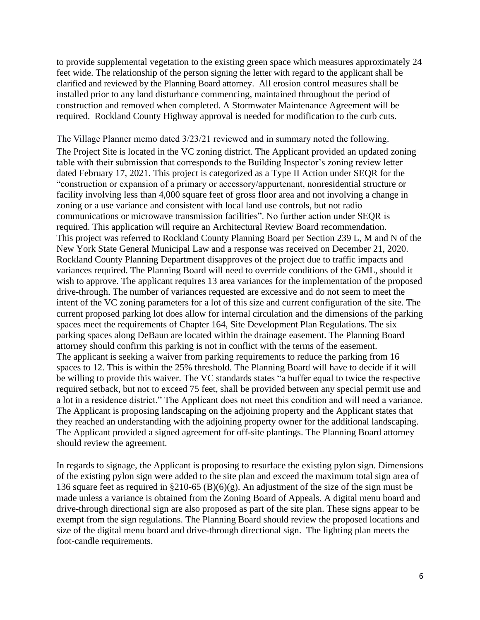to provide supplemental vegetation to the existing green space which measures approximately 24 feet wide. The relationship of the person signing the letter with regard to the applicant shall be clarified and reviewed by the Planning Board attorney. All erosion control measures shall be installed prior to any land disturbance commencing, maintained throughout the period of construction and removed when completed. A Stormwater Maintenance Agreement will be required. Rockland County Highway approval is needed for modification to the curb cuts.

The Village Planner memo dated 3/23/21 reviewed and in summary noted the following. The Project Site is located in the VC zoning district. The Applicant provided an updated zoning table with their submission that corresponds to the Building Inspector's zoning review letter dated February 17, 2021. This project is categorized as a Type II Action under SEQR for the "construction or expansion of a primary or accessory/appurtenant, nonresidential structure or facility involving less than 4,000 square feet of gross floor area and not involving a change in zoning or a use variance and consistent with local land use controls, but not radio communications or microwave transmission facilities". No further action under SEQR is required. This application will require an Architectural Review Board recommendation. This project was referred to Rockland County Planning Board per Section 239 L, M and N of the New York State General Municipal Law and a response was received on December 21, 2020. Rockland County Planning Department disapproves of the project due to traffic impacts and variances required. The Planning Board will need to override conditions of the GML, should it wish to approve. The applicant requires 13 area variances for the implementation of the proposed drive-through. The number of variances requested are excessive and do not seem to meet the intent of the VC zoning parameters for a lot of this size and current configuration of the site. The current proposed parking lot does allow for internal circulation and the dimensions of the parking spaces meet the requirements of Chapter 164, Site Development Plan Regulations. The six parking spaces along DeBaun are located within the drainage easement. The Planning Board attorney should confirm this parking is not in conflict with the terms of the easement. The applicant is seeking a waiver from parking requirements to reduce the parking from 16 spaces to 12. This is within the 25% threshold. The Planning Board will have to decide if it will be willing to provide this waiver. The VC standards states "a buffer equal to twice the respective required setback, but not to exceed 75 feet, shall be provided between any special permit use and a lot in a residence district." The Applicant does not meet this condition and will need a variance. The Applicant is proposing landscaping on the adjoining property and the Applicant states that they reached an understanding with the adjoining property owner for the additional landscaping. The Applicant provided a signed agreement for off-site plantings. The Planning Board attorney should review the agreement.

In regards to signage, the Applicant is proposing to resurface the existing pylon sign. Dimensions of the existing pylon sign were added to the site plan and exceed the maximum total sign area of 136 square feet as required in §210-65 (B)(6)(g). An adjustment of the size of the sign must be made unless a variance is obtained from the Zoning Board of Appeals. A digital menu board and drive-through directional sign are also proposed as part of the site plan. These signs appear to be exempt from the sign regulations. The Planning Board should review the proposed locations and size of the digital menu board and drive-through directional sign. The lighting plan meets the foot-candle requirements.